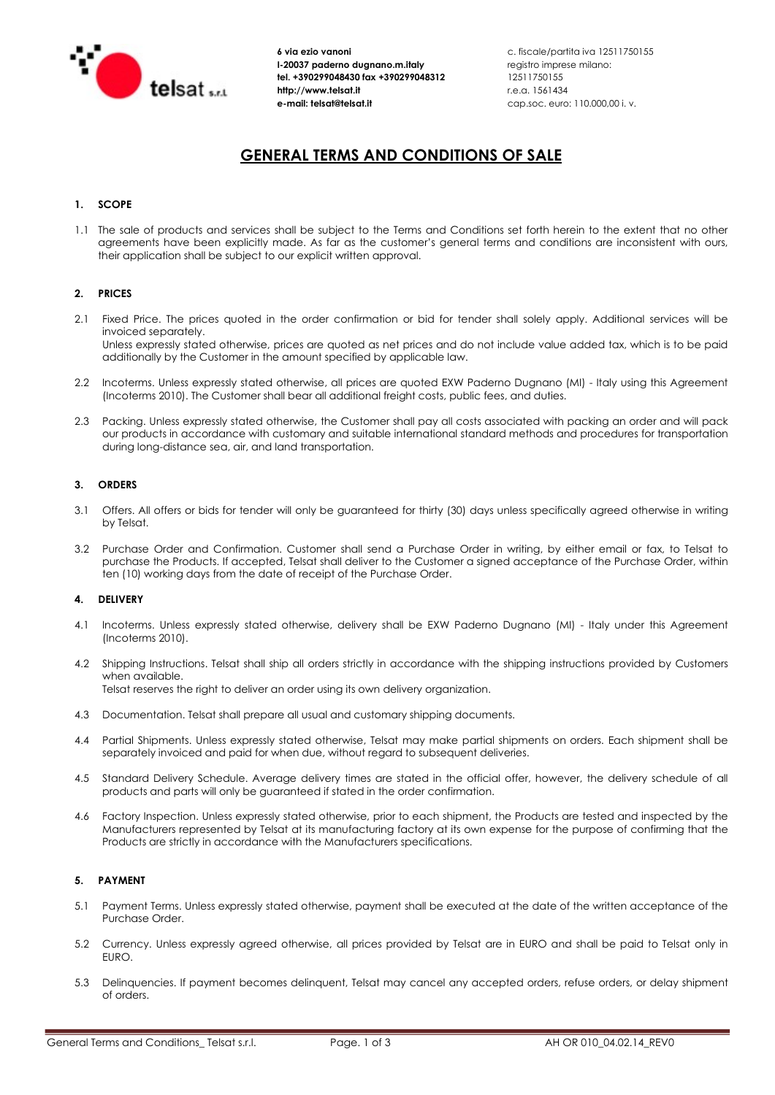

 6 via ezio vanoni c. fiscale/partita iva 12511750155 I-20037 paderno dugnano.m.italy registro imprese milano: tel. +390299048430 fax +390299048312 12511750155 http://www.telsat.it r.e.a. 1561434

# GENERAL TERMS AND CONDITIONS OF SALE

# 1. SCOPE

1.1 The sale of products and services shall be subject to the Terms and Conditions set forth herein to the extent that no other agreements have been explicitly made. As far as the customer's general terms and conditions are inconsistent with ours, their application shall be subject to our explicit written approval.

# 2. PRICES

- 2.1 Fixed Price. The prices quoted in the order confirmation or bid for tender shall solely apply. Additional services will be invoiced separately. Unless expressly stated otherwise, prices are quoted as net prices and do not include value added tax, which is to be paid additionally by the Customer in the amount specified by applicable law.
- 2.2 Incoterms. Unless expressly stated otherwise, all prices are quoted EXW Paderno Dugnano (MI) Italy using this Agreement (Incoterms 2010). The Customer shall bear all additional freight costs, public fees, and duties.
- 2.3 Packing. Unless expressly stated otherwise, the Customer shall pay all costs associated with packing an order and will pack our products in accordance with customary and suitable international standard methods and procedures for transportation during long-distance sea, air, and land transportation.

## 3. ORDERS

- 3.1 Offers. All offers or bids for tender will only be guaranteed for thirty (30) days unless specifically agreed otherwise in writing by Telsat.
- 3.2 Purchase Order and Confirmation. Customer shall send a Purchase Order in writing, by either email or fax, to Telsat to purchase the Products. If accepted, Telsat shall deliver to the Customer a signed acceptance of the Purchase Order, within ten (10) working days from the date of receipt of the Purchase Order.

## 4. DELIVERY

- 4.1 Incoterms. Unless expressly stated otherwise, delivery shall be EXW Paderno Dugnano (MI) Italy under this Agreement (Incoterms 2010).
- 4.2 Shipping Instructions. Telsat shall ship all orders strictly in accordance with the shipping instructions provided by Customers when available. Telsat reserves the right to deliver an order using its own delivery organization.
- 4.3 Documentation. Telsat shall prepare all usual and customary shipping documents.
- 4.4 Partial Shipments. Unless expressly stated otherwise, Telsat may make partial shipments on orders. Each shipment shall be separately invoiced and paid for when due, without regard to subsequent deliveries.
- 4.5 Standard Delivery Schedule. Average delivery times are stated in the official offer, however, the delivery schedule of all products and parts will only be guaranteed if stated in the order confirmation.
- 4.6 Factory Inspection. Unless expressly stated otherwise, prior to each shipment, the Products are tested and inspected by the Manufacturers represented by Telsat at its manufacturing factory at its own expense for the purpose of confirming that the Products are strictly in accordance with the Manufacturers specifications.

## 5. PAYMENT

- 5.1 Payment Terms. Unless expressly stated otherwise, payment shall be executed at the date of the written acceptance of the Purchase Order.
- 5.2 Currency. Unless expressly agreed otherwise, all prices provided by Telsat are in EURO and shall be paid to Telsat only in EURO.
- 5.3 Delinquencies. If payment becomes delinquent, Telsat may cancel any accepted orders, refuse orders, or delay shipment of orders.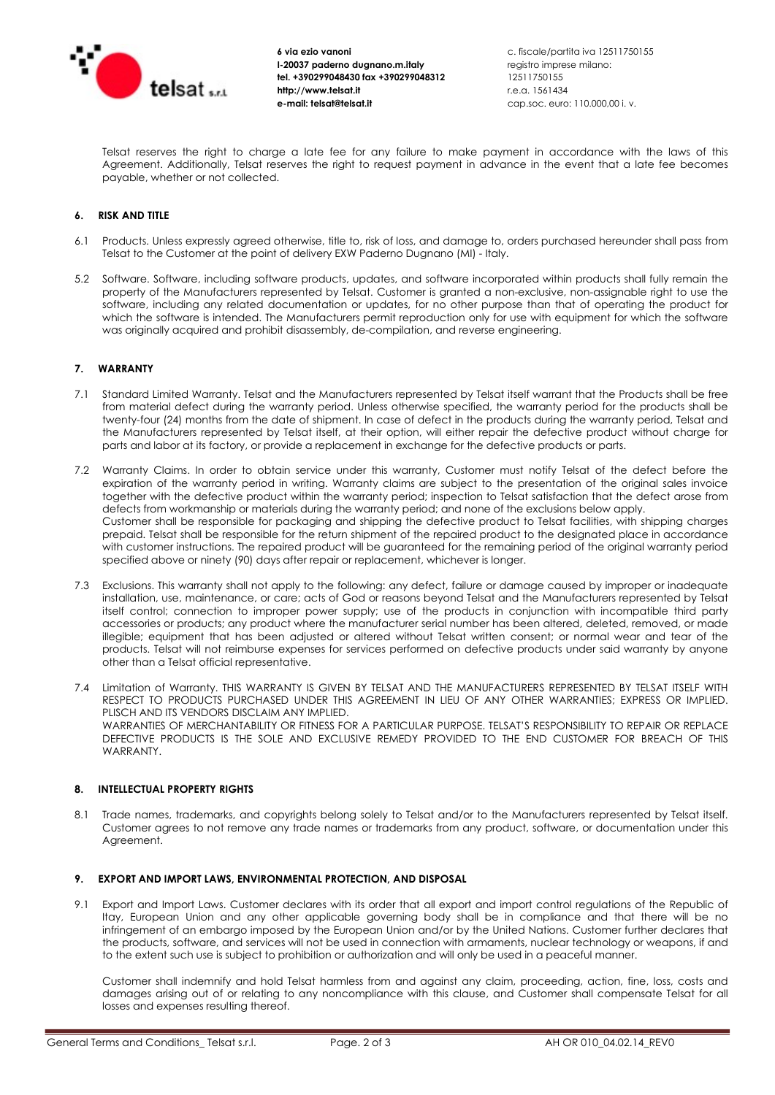

 6 via ezio vanoni c. fiscale/partita iva 12511750155 I-20037 paderno dugnano.m.italy registro imprese milano: tel. +390299048430 fax +390299048312 12511750155 http://www.telsat.it r.e.a. 1561434 el. +390299048430 fax +390299048312 12511750155<br>
tel. +390299048430 fax +390299048312 12511750155<br>
telsat.it e-mail: telsat@telsat.it cap.soc. euro: 110.000,00 i. v.<br>
e-mail: telsat@telsat.it cap.soc. euro: 110.000,00 i. v

 Telsat reserves the right to charge a late fee for any failure to make payment in accordance with the laws of this Agreement. Additionally, Telsat reserves the right to request payment in advance in the event that a late fee becomes payable, whether or not collected.

# 6. RISK AND TITLE

- 6.1 Products. Unless expressly agreed otherwise, title to, risk of loss, and damage to, orders purchased hereunder shall pass from Telsat to the Customer at the point of delivery EXW Paderno Dugnano (MI) - Italy.
- 5.2 Software. Software, including software products, updates, and software incorporated within products shall fully remain the property of the Manufacturers represented by Telsat. Customer is granted a non-exclusive, non-assignable right to use the software, including any related documentation or updates, for no other purpose than that of operating the product for which the software is intended. The Manufacturers permit reproduction only for use with equipment for which the software was originally acquired and prohibit disassembly, de-compilation, and reverse engineering.

#### 7. WARRANTY

- 7.1 Standard Limited Warranty. Telsat and the Manufacturers represented by Telsat itself warrant that the Products shall be free from material defect during the warranty period. Unless otherwise specified, the warranty period for the products shall be twenty-four (24) months from the date of shipment. In case of defect in the products during the warranty period, Telsat and the Manufacturers represented by Telsat itself, at their option, will either repair the defective product without charge for parts and labor at its factory, or provide a replacement in exchange for the defective products or parts.
- 7.2 Warranty Claims. In order to obtain service under this warranty, Customer must notify Telsat of the defect before the expiration of the warranty period in writing. Warranty claims are subject to the presentation of the original sales invoice together with the defective product within the warranty period; inspection to Telsat satisfaction that the defect arose from defects from workmanship or materials during the warranty period; and none of the exclusions below apply. Customer shall be responsible for packaging and shipping the defective product to Telsat facilities, with shipping charges prepaid. Telsat shall be responsible for the return shipment of the repaired product to the designated place in accordance with customer instructions. The repaired product will be guaranteed for the remaining period of the original warranty period specified above or ninety (90) days after repair or replacement, whichever is longer.
- 7.3 Exclusions. This warranty shall not apply to the following: any defect, failure or damage caused by improper or inadequate installation, use, maintenance, or care; acts of God or reasons beyond Telsat and the Manufacturers represented by Telsat itself control; connection to improper power supply; use of the products in conjunction with incompatible third party accessories or products; any product where the manufacturer serial number has been altered, deleted, removed, or made illegible; equipment that has been adjusted or altered without Telsat written consent; or normal wear and tear of the products. Telsat will not reimburse expenses for services performed on defective products under said warranty by anyone other than a Telsat official representative.
- 7.4 Limitation of Warranty. THIS WARRANTY IS GIVEN BY TELSAT AND THE MANUFACTURERS REPRESENTED BY TELSAT ITSELF WITH RESPECT TO PRODUCTS PURCHASED UNDER THIS AGREEMENT IN LIEU OF ANY OTHER WARRANTIES; EXPRESS OR IMPLIED. PLISCH AND ITS VENDORS DISCLAIM ANY IMPLIED. WARRANTIES OF MERCHANTABILITY OR FITNESS FOR A PARTICULAR PURPOSE. TELSAT'S RESPONSIBILITY TO REPAIR OR REPLACE DEFECTIVE PRODUCTS IS THE SOLE AND EXCLUSIVE REMEDY PROVIDED TO THE END CUSTOMER FOR BREACH OF THIS **WARRANTY**

# 8. INTELLECTUAL PROPERTY RIGHTS

8.1 Trade names, trademarks, and copyrights belong solely to Telsat and/or to the Manufacturers represented by Telsat itself. Customer agrees to not remove any trade names or trademarks from any product, software, or documentation under this Agreement.

#### 9. EXPORT AND IMPORT LAWS, ENVIRONMENTAL PROTECTION, AND DISPOSAL

9.1 Export and Import Laws. Customer declares with its order that all export and import control regulations of the Republic of Itay, European Union and any other applicable governing body shall be in compliance and that there will be no infringement of an embargo imposed by the European Union and/or by the United Nations. Customer further declares that the products, software, and services will not be used in connection with armaments, nuclear technology or weapons, if and to the extent such use is subject to prohibition or authorization and will only be used in a peaceful manner.

 Customer shall indemnify and hold Telsat harmless from and against any claim, proceeding, action, fine, loss, costs and damages arising out of or relating to any noncompliance with this clause, and Customer shall compensate Telsat for all losses and expenses resulting thereof.